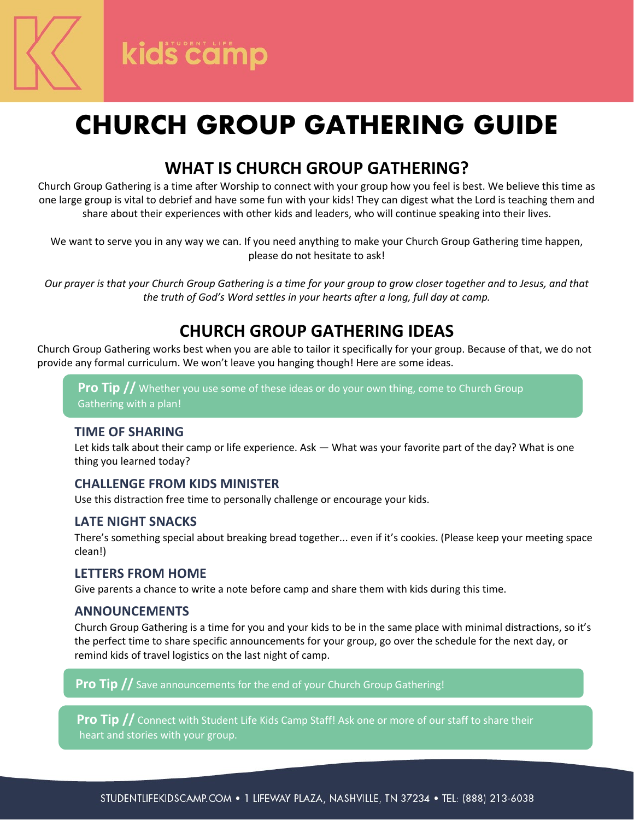

# **CHURCH GROUP GATHERING GUIDE**

# **WHAT IS CHURCH GROUP GATHERING?**

Church Group Gathering is a time after Worship to connect with your group how you feel is best. We believe this time as one large group is vital to debrief and have some fun with your kids! They can digest what the Lord is teaching them and share about their experiences with other kids and leaders, who will continue speaking into their lives.

We want to serve you in any way we can. If you need anything to make your Church Group Gathering time happen, please do not hesitate to ask!

*Our prayer is that your Church Group Gathering is a time for your group to grow closer together and to Jesus, and that the truth of God's Word settles in your hearts after a long, full day at camp.*

### **CHURCH GROUP GATHERING IDEAS**

Church Group Gathering works best when you are able to tailor it specifically for your group. Because of that, we do not provide any formal curriculum. We won't leave you hanging though! Here are some ideas.

**Pro Tip //** Whether you use some of these ideas or do your own thing, come to Church Group Gathering with a plan!

### **TIME OF SHARING**

Let kids talk about their camp or life experience. Ask — What was your favorite part of the day? What is one thing you learned today?

### **CHALLENGE FROM KIDS MINISTER**

Use this distraction free time to personally challenge or encourage your kids.

### **LATE NIGHT SNACKS**

There's something special about breaking bread together... even if it's cookies. (Please keep your meeting space clean!)

#### **LETTERS FROM HOME**

Give parents a chance to write a note before camp and share them with kids during this time.

### **ANNOUNCEMENTS**

Church Group Gathering is a time for you and your kids to be in the same place with minimal distractions, so it's the perfect time to share specific announcements for your group, go over the schedule for the next day, or remind kids of travel logistics on the last night of camp.

**Pro Tip //** Save announcements for the end of your Church Group Gathering!

**Pro Tip //** Connect with Student Life Kids Camp Staff! Ask one or more of our staff to share their heart and stories with your group.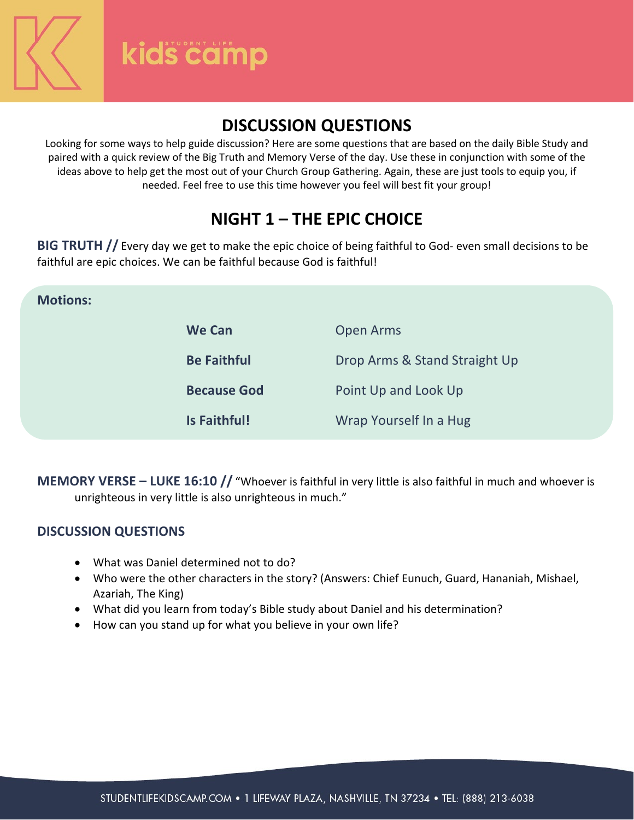kids camp

### **DISCUSSION QUESTIONS**

Looking for some ways to help guide discussion? Here are some questions that are based on the daily Bible Study and paired with a quick review of the Big Truth and Memory Verse of the day. Use these in conjunction with some of the ideas above to help get the most out of your Church Group Gathering. Again, these are just tools to equip you, if needed. Feel free to use this time however you feel will best fit your group!

## **NIGHT 1 – THE EPIC CHOICE**

**BIG TRUTH //** Every day we get to make the epic choice of being faithful to God- even small decisions to be faithful are epic choices. We can be faithful because God is faithful!

### **Motions:**

| <b>We Can</b>      | <b>Open Arms</b>              |
|--------------------|-------------------------------|
| <b>Be Faithful</b> | Drop Arms & Stand Straight Up |
| <b>Because God</b> | Point Up and Look Up          |
| Is Faithful!       | Wrap Yourself In a Hug        |

**MEMORY VERSE – LUKE 16:10 //** "Whoever is faithful in very little is also faithful in much and whoever is unrighteous in very little is also unrighteous in much."

### **DISCUSSION QUESTIONS**

- What was Daniel determined not to do?
- Who were the other characters in the story? (Answers: Chief Eunuch, Guard, Hananiah, Mishael, Azariah, The King)
- What did you learn from today's Bible study about Daniel and his determination?
- How can you stand up for what you believe in your own life?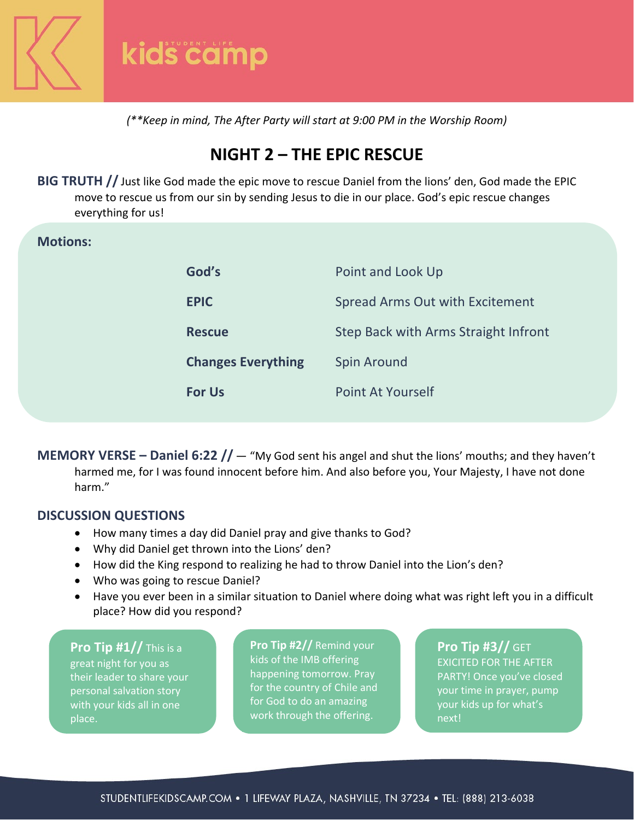

*(\*\*Keep in mind, The After Party will start at 9:00 PM in the Worship Room)*

# **NIGHT 2 – THE EPIC RESCUE**

**BIG TRUTH //** Just like God made the epic move to rescue Daniel from the lions' den, God made the EPIC move to rescue us from our sin by sending Jesus to die in our place. God's epic rescue changes everything for us!

#### **Motions:**

| God's                     | Point and Look Up                    |
|---------------------------|--------------------------------------|
| <b>EPIC</b>               | Spread Arms Out with Excitement      |
| <b>Rescue</b>             | Step Back with Arms Straight Infront |
| <b>Changes Everything</b> | Spin Around                          |
| <b>For Us</b>             | Point At Yourself                    |

**MEMORY VERSE – Daniel 6:22 //** — "My God sent his angel and shut the lions' mouths; and they haven't harmed me, for I was found innocent before him. And also before you, Your Majesty, I have not done harm."

#### **DISCUSSION QUESTIONS**

- How many times a day did Daniel pray and give thanks to God?
- Why did Daniel get thrown into the Lions' den?
- How did the King respond to realizing he had to throw Daniel into the Lion's den?
- Who was going to rescue Daniel?
- Have you ever been in a similar situation to Daniel where doing what was right left you in a difficult place? How did you respond?

**Pro Tip #1//** This is a great night for you as their leader to share your personal salvation story with your kids all in one place.

**Pro Tip #2//** Remind your kids of the IMB offering happening tomorrow. Pray for the country of Chile and for God to do an amazing work through the offering.

**Pro Tip #3//** GET EXICITED FOR THE AFTER PARTY! Once you've closed your time in prayer, pump your kids up for what's next!